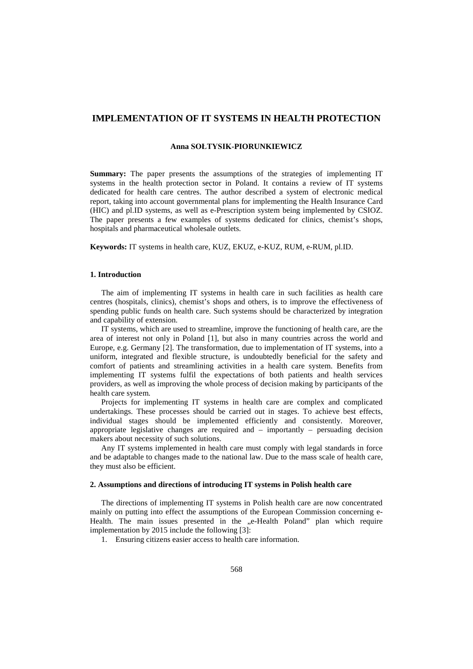# **IMPLEMENTATION OF IT SYSTEMS IN HEALTH PROTECTION**

### **Anna SOŁTYSIK-PIORUNKIEWICZ**

**Summary:** The paper presents the assumptions of the strategies of implementing IT systems in the health protection sector in Poland. It contains a review of IT systems dedicated for health care centres. The author described a system of electronic medical report, taking into account governmental plans for implementing the Health Insurance Card (HIC) and pl.ID systems, as well as e-Prescription system being implemented by CSIOZ. The paper presents a few examples of systems dedicated for clinics, chemist's shops, hospitals and pharmaceutical wholesale outlets.

**Keywords:** IT systems in health care, KUZ, EKUZ, e-KUZ, RUM, e-RUM, pl.ID.

#### **1. Introduction**

The aim of implementing IT systems in health care in such facilities as health care centres (hospitals, clinics), chemist's shops and others, is to improve the effectiveness of spending public funds on health care. Such systems should be characterized by integration and capability of extension.

IT systems, which are used to streamline, improve the functioning of health care, are the area of interest not only in Poland [1], but also in many countries across the world and Europe, e.g. Germany [2]. The transformation, due to implementation of IT systems, into a uniform, integrated and flexible structure, is undoubtedly beneficial for the safety and comfort of patients and streamlining activities in a health care system. Benefits from implementing IT systems fulfil the expectations of both patients and health services providers, as well as improving the whole process of decision making by participants of the health care system.

Projects for implementing IT systems in health care are complex and complicated undertakings. These processes should be carried out in stages. To achieve best effects, individual stages should be implemented efficiently and consistently. Moreover, appropriate legislative changes are required and – importantly – persuading decision makers about necessity of such solutions.

Any IT systems implemented in health care must comply with legal standards in force and be adaptable to changes made to the national law. Due to the mass scale of health care, they must also be efficient.

#### **2. Assumptions and directions of introducing IT systems in Polish health care**

The directions of implementing IT systems in Polish health care are now concentrated mainly on putting into effect the assumptions of the European Commission concerning e-Health. The main issues presented in the "e-Health Poland" plan which require implementation by 2015 include the following [3]:

1. Ensuring citizens easier access to health care information.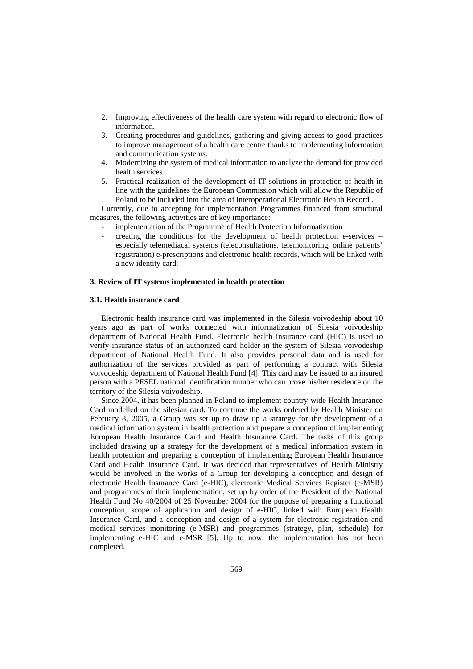- 2. Improving effectiveness of the health care system with regard to electronic flow of information.
- 3. Creating procedures and guidelines, gathering and giving access to good practices to improve management of a health care centre thanks to implementing information and communication systems.
- 4. Modernizing the system of medical information to analyze the demand for provided health services
- 5. Practical realization of the development of IT solutions in protection of health in line with the guidelines the European Commission which will allow the Republic of Poland to be included into the area of interoperational Electronic Health Record .

Currently, due to accepting for implementation Programmes financed from structural measures, the following activities are of key importance:

- implementation of the Programme of Health Protection Informatization
- creating the conditions for the development of health protection e-services especially telemediacal systems (teleconsultations, telemonitoring, online patients' registration) e-prescriptions and electronic health records, which will be linked with a new identity card.

## **3. Review of IT systems implemented in health protection**

#### **3.1. Health insurance card**

Electronic health insurance card was implemented in the Silesia voivodeship about 10 years ago as part of works connected with informatization of Silesia voivodeship department of National Health Fund. Electronic health insurance card (HIC) is used to verify insurance status of an authorized card holder in the system of Silesia voivodeship department of National Health Fund. It also provides personal data and is used for authorization of the services provided as part of performing a contract with Silesia voivodeship department of National Health Fund [4]. This card may be issued to an insured person with a PESEL national identification number who can prove his/her residence on the territory of the Silesia voivodeship.

Since 2004, it has been planned in Poland to implement country-wide Health Insurance Card modelled on the silesian card. To continue the works ordered by Health Minister on February 8, 2005, a Group was set up to draw up a strategy for the development of a medical information system in health protection and prepare a conception of implementing European Health Insurance Card and Health Insurance Card. The tasks of this group included drawing up a strategy for the development of a medical information system in health protection and preparing a conception of implementing European Health Insurance Card and Health Insurance Card. It was decided that representatives of Health Ministry would be involved in the works of a Group for developing a conception and design of electronic Health Insurance Card (e-HIC), electronic Medical Services Register (e-MSR) and programmes of their implementation, set up by order of the President of the National Health Fund No 40/2004 of 25 November 2004 for the purpose of preparing a functional conception, scope of application and design of e-HIC, linked with European Health Insurance Card, and a conception and design of a system for electronic registration and medical services monitoring (e-MSR) and programmes (strategy, plan, schedule) for implementing e-HIC and e-MSR [5]. Up to now, the implementation has not been completed.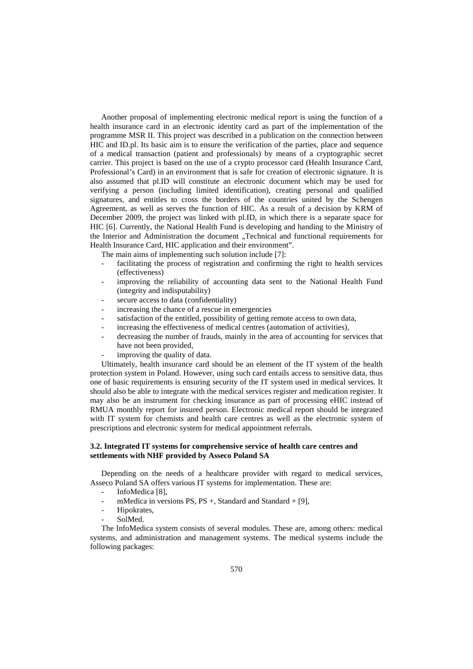Another proposal of implementing electronic medical report is using the function of a health insurance card in an electronic identity card as part of the implementation of the programme MSR II. This project was described in a publication on the connection between HIC and ID.pl. Its basic aim is to ensure the verification of the parties, place and sequence of a medical transaction (patient and professionals) by means of a cryptographic secret carrier. This project is based on the use of a crypto processor card (Health Insurance Card, Professional's Card) in an environment that is safe for creation of electronic signature. It is also assumed that pl.ID will constitute an electronic document which may be used for verifying a person (including limited identification), creating personal and qualified signatures, and entitles to cross the borders of the countries united by the Schengen Agreement, as well as serves the function of HIC. As a result of a decision by KRM of December 2009, the project was linked with pl.ID, in which there is a separate space for HIC [6]. Currently, the National Health Fund is developing and handing to the Ministry of the Interior and Administration the document "Technical and functional requirements for Health Insurance Card, HIC application and their environment".

The main aims of implementing such solution include [7]:

- facilitating the process of registration and confirming the right to health services (effectiveness)
- improving the reliability of accounting data sent to the National Health Fund (integrity and indisputability)
- secure access to data (confidentiality)
- increasing the chance of a rescue in emergencies
- satisfaction of the entitled, possibility of getting remote access to own data,
- increasing the effectiveness of medical centres (automation of activities),
- decreasing the number of frauds, mainly in the area of accounting for services that have not been provided,
- improving the quality of data.

Ultimately, health insurance card should be an element of the IT system of the health protection system in Poland. However, using such card entails access to sensitive data, thus one of basic requirements is ensuring security of the IT system used in medical services. It should also be able to integrate with the medical services register and medication register. It may also be an instrument for checking insurance as part of processing eHIC instead of RMUA monthly report for insured person. Electronic medical report should be integrated with IT system for chemists and health care centres as well as the electronic system of prescriptions and electronic system for medical appointment referrals.

## **3.2. Integrated IT systems for comprehensive service of health care centres and settlements with NHF provided by Asseco Poland SA**

Depending on the needs of a healthcare provider with regard to medical services, Asseco Poland SA offers various IT systems for implementation. These are:

- InfoMedica [8],
- mMedica in versions PS, PS  $+$ , Standard and Standard  $+$  [9],
- Hipokrates.
- SolMed.

The InfoMedica system consists of several modules. These are, among others: medical systems, and administration and management systems. The medical systems include the following packages: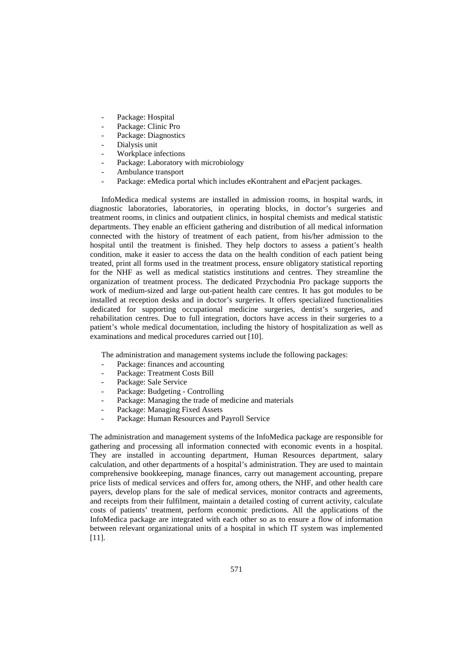- Package: Hospital
- Package: Clinic Pro
- Package: Diagnostics
- Dialysis unit
- Workplace infections
- Package: Laboratory with microbiology
- Ambulance transport
- Package: eMedica portal which includes eKontrahent and ePacjent packages.

InfoMedica medical systems are installed in admission rooms, in hospital wards, in diagnostic laboratories, laboratories, in operating blocks, in doctor's surgeries and treatment rooms, in clinics and outpatient clinics, in hospital chemists and medical statistic departments. They enable an efficient gathering and distribution of all medical information connected with the history of treatment of each patient, from his/her admission to the hospital until the treatment is finished. They help doctors to assess a patient's health condition, make it easier to access the data on the health condition of each patient being treated, print all forms used in the treatment process, ensure obligatory statistical reporting for the NHF as well as medical statistics institutions and centres. They streamline the organization of treatment process. The dedicated Przychodnia Pro package supports the work of medium-sized and large out-patient health care centres. It has got modules to be installed at reception desks and in doctor's surgeries. It offers specialized functionalities dedicated for supporting occupational medicine surgeries, dentist's surgeries, and rehabilitation centres. Due to full integration, doctors have access in their surgeries to a patient's whole medical documentation, including the history of hospitalization as well as examinations and medical procedures carried out [10].

The administration and management systems include the following packages:

- Package: finances and accounting
- Package: Treatment Costs Bill
- Package: Sale Service
- Package: Budgeting Controlling
- Package: Managing the trade of medicine and materials
- Package: Managing Fixed Assets
- Package: Human Resources and Payroll Service

The administration and management systems of the InfoMedica package are responsible for gathering and processing all information connected with economic events in a hospital. They are installed in accounting department, Human Resources department, salary calculation, and other departments of a hospital's administration. They are used to maintain comprehensive bookkeeping, manage finances, carry out management accounting, prepare price lists of medical services and offers for, among others, the NHF, and other health care payers, develop plans for the sale of medical services, monitor contracts and agreements, and receipts from their fulfilment, maintain a detailed costing of current activity, calculate costs of patients' treatment, perform economic predictions. All the applications of the InfoMedica package are integrated with each other so as to ensure a flow of information between relevant organizational units of a hospital in which IT system was implemented [11].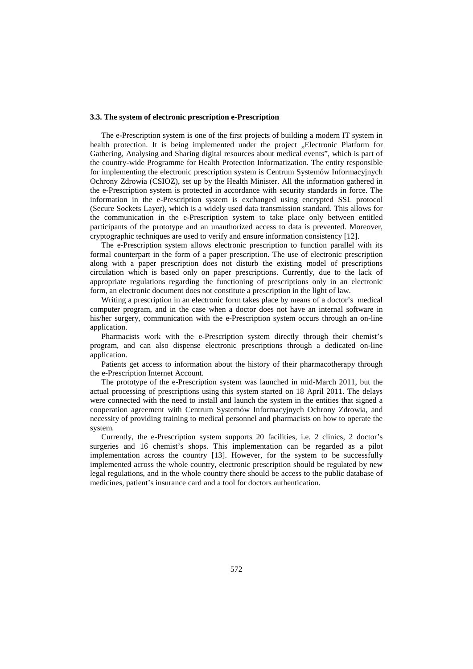#### **3.3. The system of electronic prescription e-Prescription**

The e-Prescription system is one of the first projects of building a modern IT system in health protection. It is being implemented under the project . Electronic Platform for Gathering, Analysing and Sharing digital resources about medical events", which is part of the country-wide Programme for Health Protection Informatization. The entity responsible for implementing the electronic prescription system is Centrum Systemów Informacyjnych Ochrony Zdrowia (CSIOZ), set up by the Health Minister. All the information gathered in the e-Prescription system is protected in accordance with security standards in force. The information in the e-Prescription system is exchanged using encrypted SSL protocol (Secure Sockets Layer), which is a widely used data transmission standard. This allows for the communication in the e-Prescription system to take place only between entitled participants of the prototype and an unauthorized access to data is prevented. Moreover, cryptographic techniques are used to verify and ensure information consistency [12].

The e-Prescription system allows electronic prescription to function parallel with its formal counterpart in the form of a paper prescription. The use of electronic prescription along with a paper prescription does not disturb the existing model of prescriptions circulation which is based only on paper prescriptions. Currently, due to the lack of appropriate regulations regarding the functioning of prescriptions only in an electronic form, an electronic document does not constitute a prescription in the light of law.

Writing a prescription in an electronic form takes place by means of a doctor's medical computer program, and in the case when a doctor does not have an internal software in his/her surgery, communication with the e-Prescription system occurs through an on-line application.

Pharmacists work with the e-Prescription system directly through their chemist's program, and can also dispense electronic prescriptions through a dedicated on-line application.

Patients get access to information about the history of their pharmacotherapy through the e-Prescription Internet Account.

The prototype of the e-Prescription system was launched in mid-March 2011, but the actual processing of prescriptions using this system started on 18 April 2011. The delays were connected with the need to install and launch the system in the entities that signed a cooperation agreement with Centrum Systemów Informacyjnych Ochrony Zdrowia, and necessity of providing training to medical personnel and pharmacists on how to operate the system.

Currently, the e-Prescription system supports 20 facilities, i.e. 2 clinics, 2 doctor's surgeries and 16 chemist's shops. This implementation can be regarded as a pilot implementation across the country [13]. However, for the system to be successfully implemented across the whole country, electronic prescription should be regulated by new legal regulations, and in the whole country there should be access to the public database of medicines, patient's insurance card and a tool for doctors authentication.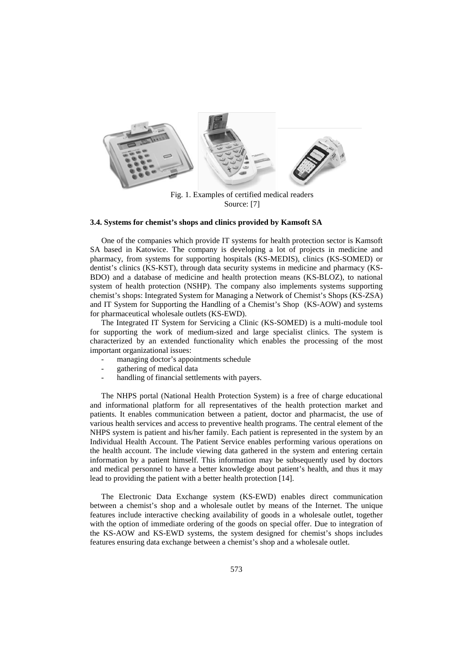

Fig. 1. Examples of certified medical readers Source: [7]

#### **3.4. Systems for chemist's shops and clinics provided by Kamsoft SA**

One of the companies which provide IT systems for health protection sector is Kamsoft SA based in Katowice. The company is developing a lot of projects in medicine and pharmacy, from systems for supporting hospitals (KS-MEDIS), clinics (KS-SOMED) or dentist's clinics (KS-KST), through data security systems in medicine and pharmacy (KS-BDO) and a database of medicine and health protection means (KS-BLOZ), to national system of health protection (NSHP). The company also implements systems supporting chemist's shops: Integrated System for Managing a Network of Chemist's Shops (KS-ZSA) and IT System for Supporting the Handling of a Chemist's Shop (KS-AOW) and systems for pharmaceutical wholesale outlets (KS-EWD).

The Integrated IT System for Servicing a Clinic (KS-SOMED) is a multi-module tool for supporting the work of medium-sized and large specialist clinics. The system is characterized by an extended functionality which enables the processing of the most important organizational issues:

- managing doctor's appointments schedule
- gathering of medical data
- handling of financial settlements with payers.

The NHPS portal (National Health Protection System) is a free of charge educational and informational platform for all representatives of the health protection market and patients. It enables communication between a patient, doctor and pharmacist, the use of various health services and access to preventive health programs. The central element of the NHPS system is patient and his/her family. Each patient is represented in the system by an Individual Health Account. The Patient Service enables performing various operations on the health account. The include viewing data gathered in the system and entering certain information by a patient himself. This information may be subsequently used by doctors and medical personnel to have a better knowledge about patient's health, and thus it may lead to providing the patient with a better health protection [14].

The Electronic Data Exchange system (KS-EWD) enables direct communication between a chemist's shop and a wholesale outlet by means of the Internet. The unique features include interactive checking availability of goods in a wholesale outlet, together with the option of immediate ordering of the goods on special offer. Due to integration of the KS-AOW and KS-EWD systems, the system designed for chemist's shops includes features ensuring data exchange between a chemist's shop and a wholesale outlet.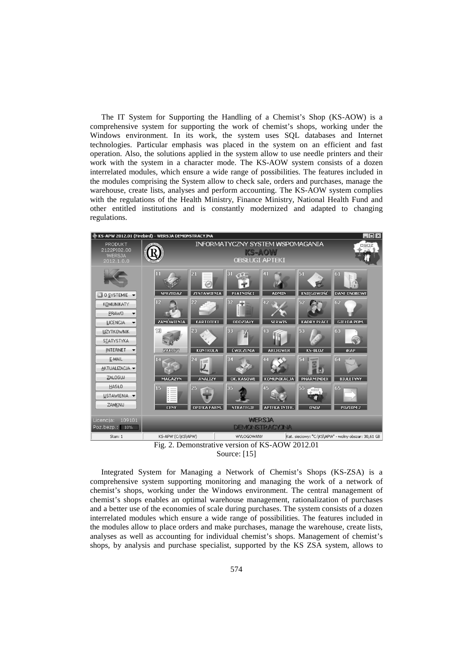The IT System for Supporting the Handling of a Chemist's Shop (KS-AOW) is a comprehensive system for supporting the work of chemist's shops, working under the Windows environment. In its work, the system uses SQL databases and Internet technologies. Particular emphasis was placed in the system on an efficient and fast operation. Also, the solutions applied in the system allow to use needle printers and their work with the system in a character mode. The KS-AOW system consists of a dozen interrelated modules, which ensure a wide range of possibilities. The features included in the modules comprising the System allow to check sale, orders and purchases, manage the warehouse, create lists, analyses and perform accounting. The KS-AOW system complies with the regulations of the Health Ministry, Finance Ministry, National Health Fund and other entitled institutions and is constantly modernized and adapted to changing regulations.





Integrated System for Managing a Network of Chemist's Shops (KS-ZSA) is a comprehensive system supporting monitoring and managing the work of a network of chemist's shops, working under the Windows environment. The central management of chemist's shops enables an optimal warehouse management, rationalization of purchases and a better use of the economies of scale during purchases. The system consists of a dozen interrelated modules which ensure a wide range of possibilities. The features included in the modules allow to place orders and make purchases, manage the warehouse, create lists, analyses as well as accounting for individual chemist's shops. Management of chemist's shops, by analysis and purchase specialist, supported by the KS ZSA system, allows to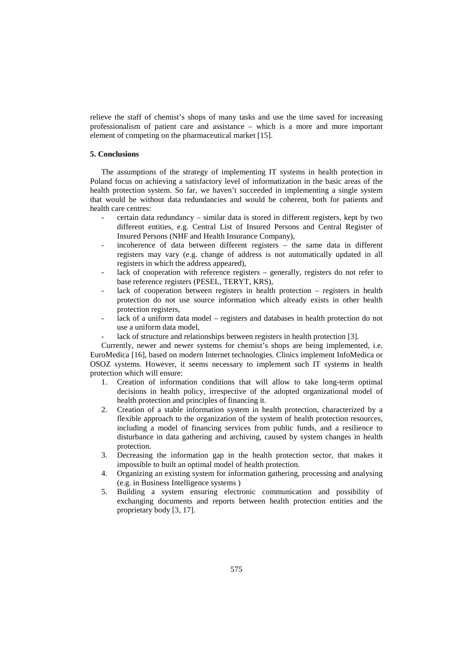relieve the staff of chemist's shops of many tasks and use the time saved for increasing professionalism of patient care and assistance – which is a more and more important element of competing on the pharmaceutical market [15].

## **5. Conclusions**

The assumptions of the strategy of implementing IT systems in health protection in Poland focus on achieving a satisfactory level of informatization in the basic areas of the health protection system. So far, we haven't succeeded in implementing a single system that would be without data redundancies and would be coherent, both for patients and health care centres:

- certain data redundancy similar data is stored in different registers, kept by two different entities, e.g. Central List of Insured Persons and Central Register of Insured Persons (NHF and Health Insurance Company),
- incoherence of data between different registers the same data in different registers may vary (e.g. change of address is not automatically updated in all registers in which the address appeared),
- lack of cooperation with reference registers generally, registers do not refer to base reference registers (PESEL, TERYT, KRS),
- lack of cooperation between registers in health protection registers in health protection do not use source information which already exists in other health protection registers,
- lack of a uniform data model registers and databases in health protection do not use a uniform data model,
- lack of structure and relationships between registers in health protection [3].

Currently, newer and newer systems for chemist's shops are being implemented, i.e. EuroMedica [16], based on modern Internet technologies. Clinics implement InfoMedica or OSOZ systems. However, it seems necessary to implement such IT systems in health protection which will ensure:

- 1. Creation of information conditions that will allow to take long-term optimal decisions in health policy, irrespective of the adopted organizational model of health protection and principles of financing it.
- 2. Creation of a stable information system in health protection, characterized by a flexible approach to the organization of the system of health protection resources, including a model of financing services from public funds, and a resilience to disturbance in data gathering and archiving, caused by system changes in health protection.
- 3. Decreasing the information gap in the health protection sector, that makes it impossible to built an optimal model of health protection.
- 4. Organizing an existing system for information gathering, processing and analysing (e.g. in Business Intelligence systems )
- 5. Building a system ensuring electronic communication and possibility of exchanging documents and reports between health protection entities and the proprietary body [3, 17].